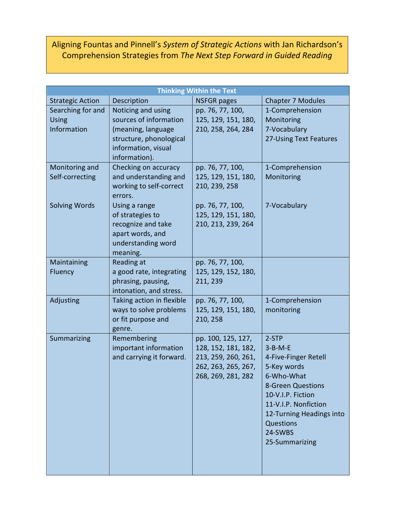## Aligning Fountas and Pinnell's *System of Strategic Actions* with Jan Richardson's Comprehension Strategies from *The Next Step Forward in Guided Reading*

| <b>Thinking Within the Text</b>                  |                                                                                                                                       |                                                                                                               |                                                                                                                                                                                                                              |  |
|--------------------------------------------------|---------------------------------------------------------------------------------------------------------------------------------------|---------------------------------------------------------------------------------------------------------------|------------------------------------------------------------------------------------------------------------------------------------------------------------------------------------------------------------------------------|--|
| <b>Strategic Action</b>                          | Description                                                                                                                           | <b>NSFGR pages</b>                                                                                            | <b>Chapter 7 Modules</b>                                                                                                                                                                                                     |  |
| Searching for and<br><b>Using</b><br>Information | Noticing and using<br>sources of information<br>(meaning, language<br>structure, phonological<br>information, visual<br>information). | pp. 76, 77, 100,<br>125, 129, 151, 180,<br>210, 258, 264, 284                                                 | 1-Comprehension<br>Monitoring<br>7-Vocabulary<br>27-Using Text Features                                                                                                                                                      |  |
| Monitoring and<br>Self-correcting                | Checking on accuracy<br>and understanding and<br>working to self-correct<br>errors.                                                   | pp. 76, 77, 100,<br>125, 129, 151, 180,<br>210, 239, 258                                                      | 1-Comprehension<br>Monitoring                                                                                                                                                                                                |  |
| <b>Solving Words</b>                             | Using a range<br>of strategies to<br>recognize and take<br>apart words, and<br>understanding word<br>meaning.                         | pp. 76, 77, 100,<br>125, 129, 151, 180,<br>210, 213, 239, 264                                                 | 7-Vocabulary                                                                                                                                                                                                                 |  |
| Maintaining<br>Fluency                           | Reading at<br>a good rate, integrating<br>phrasing, pausing,<br>intonation, and stress.                                               | pp. 76, 77, 100,<br>125, 129, 152, 180,<br>211, 239                                                           |                                                                                                                                                                                                                              |  |
| Adjusting                                        | Taking action in flexible<br>ways to solve problems<br>or fit purpose and<br>genre.                                                   | pp. 76, 77, 100,<br>125, 129, 151, 180,<br>210, 258                                                           | 1-Comprehension<br>monitoring                                                                                                                                                                                                |  |
| Summarizing                                      | Remembering<br>important information<br>and carrying it forward.                                                                      | pp. 100, 125, 127,<br>128, 152, 181, 182,<br>213, 259, 260, 261,<br>262, 263, 265, 267,<br>268, 269, 281, 282 | 2-STP<br>$3 - B - M - E$<br>4-Five-Finger Retell<br>5-Key words<br>6-Who-What<br><b>8-Green Questions</b><br>10-V.I.P. Fiction<br>11-V.I.P. Nonfiction<br>12-Turning Headings into<br>Questions<br>24-SWBS<br>25-Summarizing |  |